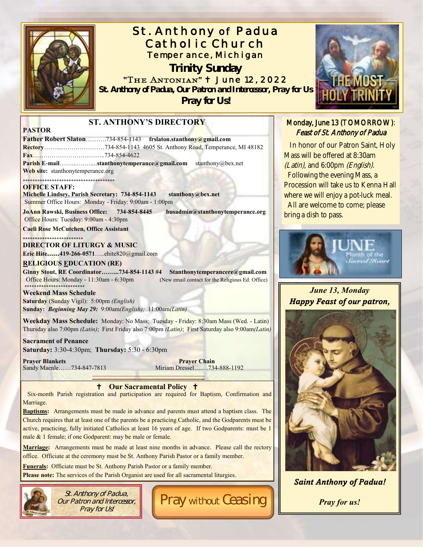

# St. Anthony of Padua Catholic Church Temperance, Michigan

**Trinity Sunday** "The Antonian" <sup>+</sup> June 12, 2022 *St. Anthony of Padua, Our Patron and Intercessor, Pray for Us*

*Pray for Us!*



**Baptisms:** Arrangements must be made in advance and parents must attend a baptism class. The Church requires that at least one of the parents be a practicing Catholic, and the Godparents must be active, practicing, fully initiated Catholics at least 16 years of age. If two Godparents: must be 1 male & 1 female; if one Godparent: may be male or female.

**Marriage:** Arrangements must be made at least nine months in advance. Please call the rectory office. Officiate at the ceremony must be St. Anthony Parish Pastor or a family member.

**Funerals:** Officiate must be St. Anthony Parish Pastor or a family member.

Please note: The services of the Parish Organist are used for all sacramental liturgies.



St. Anthony of Padua, Our Patron and Intercessor, Pray for Us!

Pray without Ceasing



### Monday, June 13 (TOMORROW): Feast of St. Anthony of Padua

 In honor of our Patron Saint, Holy Mass will be offered at 8:30am (Latin), and 6:00pm (English). Following the evening Mass, a Procession will take us to Kenna Hall where we will enjoy a pot-luck meal. All are welcome to come; please bring a dish to pass.



*June 13, Monday Happy Feast of our patron,* 



*Saint Anthony of Padua!*

*Pray for us!*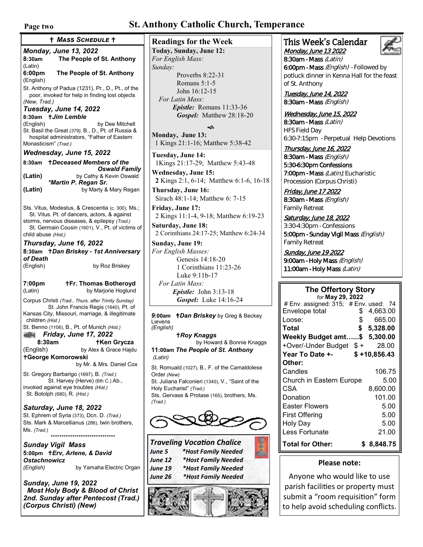## **Page two St. Anthony Catholic Church, Temperance**

*Monday, June 13, 2022* **8:30am The People of St. Anthony** (Latin) **6:00pm The People of St. Anthony** (English) St. Anthony of Padua (1231), Pr., D., Pt., of the poor, invoked for help in finding lost objects *(New, Trad.) Tuesday, June 14, 2022* 8:30am *† Jim Lemble*<br>(English) by Dee Mitchell St. Basil the Great *(379),* B., D., Pt. of Russia & hospital administrators, "Father of Eastern Monasticism" *(Trad.) Wednesday, June 15, 2022* **8:30am** *Deceased Members of the Oswald Family* **(Latin)** by Cathy & Kevin Oswald *\*Martin P. Regan Sr.*  **(Latin)** by Marty & Mary Regan Sts. Vitus, Modestus, & Crescentia (c. 300), Ms.; St. Vitus. Pt. of dancers, actors, & against storms, nervous diseases, & epilepsy *(Trad.)* St. Germain Cousin (1601), V., Pt. of victims of child abuse *(Hist,) Thursday, June 16, 2022* **8:30am** *Dan Briskey - 1st Anniversary of Death* (English)by Roz Briskey **7:00pm Fr. Thomas Botheroyd** by Marjorie Hoglund (Latin) Corpus Christi *(Trad., Thurs. after Trinity Sunday)* St. John Francis Regis (1640), Pt. of Kansas City, Missouri, marriage, & illegitimate children *(Hist.)* St. Benno (1106), B., Pt. of Munich *(Hist.) Friday, June 17, 2022*  **8:30am Ken Grycza** (English) by Alex & Grace Hajdu **George Komorowski** by Mr. & Mrs. Daniel Cox St. Gregory Barbarigo (1697), B. *(Trad.)* St. Harvey (Herve) (6th C.) Ab., invoked against eye troubles *(Hist.)* St. Botolph (680), R. *(Hist.) Saturday, June 18, 2022* St. Ephrem of Syria (373), Dcn. D. *(Trad.)* Sts. Mark & Marcellianus (286), twin brothers, Ms. *(Trad.) \*\*\*\*\*\*\*\*\*\*\*\*\*\*\*\*\*\*\*\*\*\*\*\*\*\*\*\*\*\* Sunday Vigil Mass Mass Schedule*  **Readings for the Week**

**5:00pm** *Erv, Arlene, & David Ostachnowicz (English)* by Yamaha Electric Organ

*Sunday, June 19, 2022 Most Holy Body & Blood of Christ 2nd. Sunday after Pentecost (Trad.) (Corpus Christi) (New)* 

**Today, Sunday, June 12:** *For English Mass: Sunday:* Proverbs 8:22-31 Romans 5:1-5 John 16:12-15  *For Latin Mass: Epistle:* Romans 11:33-36 *Gospel:* Matthew 28:18-20 ิ∕ธ

**Monday, June 13:** 1 Kings 21:1-16; Matthew 5:38-42

**Tuesday, June 14:** 1Kings 21:17-29; Matthew 5:43-48

**Wednesday, June 15: 2** Kings 2:1, 6-14; Matthew 6:1-6, 16-18

**Thursday, June 16:** Sirach 48:1-14; Matthew 6: 7-15

**Friday, June 17:**  2 Kings 11:1-4, 9-18; Matthew 6:19-23

**Saturday, June 18:**  2 Corinthians 24:17-25; Matthew 6:24-34

**Sunday, June 19:** *For English Masses:* Genesis 14:18-20 1 Corinthians 11:23-26

Luke 9:11b-17

 *For Latin Mass: Epistle:* John 3:13-18 *Gospel:* Luke 14:16-24

*9***:00am** *Dan Briskey* by Greg & Beckey Lievens *(English)* 

*Roy Knaggs* by Howard & Bonnie Knaggs **11:00am** *The People of St. Anthony (Latin)* 

St. Romuald (1027), B., F. of the Camaldolese Order *(New)* St. Juliana Falconieri (1340), V., "Saint of the Holy Eucharist" *(Trad.)* Sts. Gervase & Protase (165), brothers, Ms. *(Trad.)*



*Traveling Vocation Chalice June 5 \*Host Family Needed June 12 \*Host Family Needed June 19 \*Host Family Needed June 26 \*Host Family Needed*



#### This Week's Calendar Monday, June 13 2022



8:30am - Mass (Latin) 6:00pm - Mass (English) - Followed by potluck dinner in Kenna Hall for the feast of St. Anthony

Tuesday, June 14, 2022 8:30am - Mass (English)

Wednesday, June 15, 2022 8:30am - Mass (Latin) HFS Field Day 6:30-7:15pm - Perpetual Help Devotions

Thursday, June 16, 2022 8:30am - Mass (English) 5:30-6:30pm Confessions 7:00pm - Mass (Latin); Eucharistic Procession (Corpus Christi)

Friday, June 17 2022 8:30am - Mass (English) Family Retreat

Saturday, June 18, 2022 3:30-4:30pm - Confessions 5:00pm - Sunday Vigil Mass (English) Family Retreat

Sunday, June 19 2022 9:00am - Holy Mass (English) 11:00am - Holy Mass (Latin)

## **The Offertory Story**

| for <b>May 29, 2022</b>                  |                |       |
|------------------------------------------|----------------|-------|
| # Env. assigned: $315$ ; # Env. used: 74 |                |       |
| Envelope total                           | \$<br>4,663.00 |       |
| Loose:                                   | \$<br>665.00   |       |
| Total                                    | \$<br>5,328.00 |       |
| Weekly Budget amt\$                      | 5,300.00       |       |
| +Over/-Under Budget \$+                  | 28.00          |       |
| Year To Date +-                          | $$+10,856.43$  |       |
| Other:                                   |                |       |
| Candles                                  | 106.75         |       |
| Church in Eastern Europe                 |                | 5.00  |
| CSA                                      | 8,600.00       |       |
| Donation                                 | 101.00         |       |
| Easter Flowers                           |                | 5.00  |
| <b>First Offering</b>                    |                | 5.00  |
| Holy Day                                 |                | 5.00  |
| Less Fortunate                           |                | 21.00 |
| <b>Total for Other:</b>                  | 8,848.75       |       |

#### **Please note:**

Anyone who would like to use parish facilities or property must submit a "room requisition" form to help avoid scheduling conflicts.